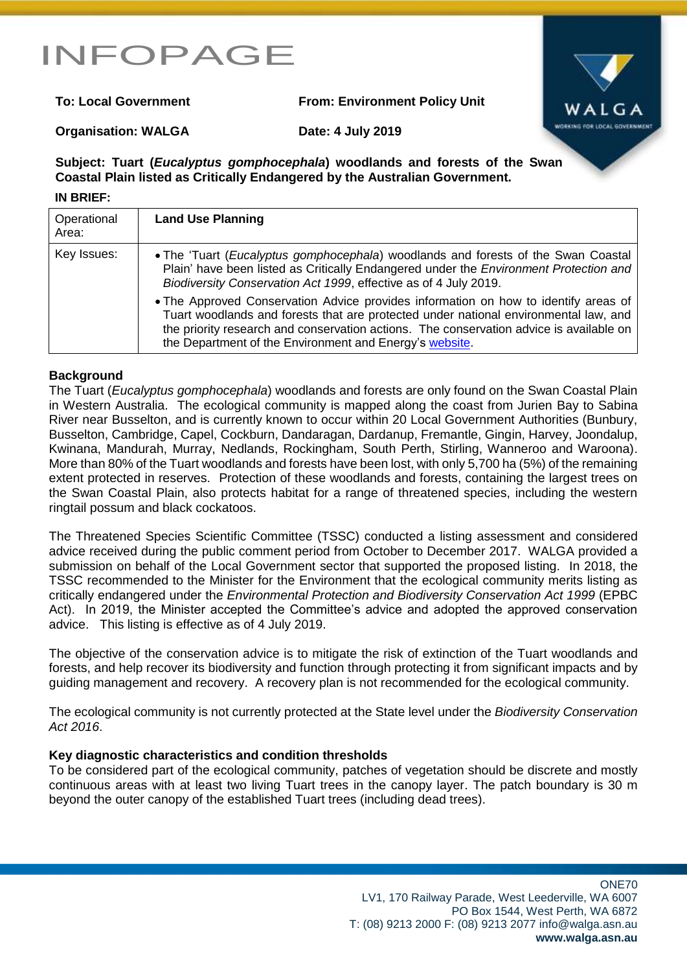# INFOPAGE

**To: Local Government From: Environment Policy Unit**



#### **Organisation: WALGA Date: 4 July 2019**

## **Subject: Tuart (***Eucalyptus gomphocephala***) woodlands and forests of the Swan Coastal Plain listed as Critically Endangered by the Australian Government.**

### **IN BRIEF: Operational** Area: **Land Use Planning** Key Issues: **Notai** • The 'Tuart (*Eucalyptus gomphocephala*) woodlands and forests of the Swan Coastal Plain' have been listed as Critically Endangered under the *Environment Protection and Biodiversity Conservation Act 1999*, effective as of 4 July 2019. The Approved Conservation Advice provides information on how to identify areas of Tuart woodlands and forests that are protected under national environmental law, and the priority research and conservation actions. The conservation advice is available on the Department of the Environment and Energy's [website.](http://www.environment.gov.au/cgi-bin/sprat/public/publicshowcommunity.pl?id=153)

### **Background**

The Tuart (*Eucalyptus gomphocephala*) woodlands and forests are only found on the Swan Coastal Plain in Western Australia. The ecological community is mapped along the coast from Jurien Bay to Sabina River near Busselton, and is currently known to occur within 20 Local Government Authorities (Bunbury, Busselton, Cambridge, Capel, Cockburn, Dandaragan, Dardanup, Fremantle, Gingin, Harvey, Joondalup, Kwinana, Mandurah, Murray, Nedlands, Rockingham, South Perth, Stirling, Wanneroo and Waroona). More than 80% of the Tuart woodlands and forests have been lost, with only 5,700 ha (5%) of the remaining extent protected in reserves. Protection of these woodlands and forests, containing the largest trees on the Swan Coastal Plain, also protects habitat for a range of threatened species, including the western ringtail possum and black cockatoos.

The Threatened Species Scientific Committee (TSSC) conducted a listing assessment and considered advice received during the public comment period from October to December 2017. WALGA provided a submission on behalf of the Local Government sector that supported the proposed listing. In 2018, the TSSC recommended to the Minister for the Environment that the ecological community merits listing as critically endangered under the *Environmental Protection and Biodiversity Conservation Act 1999* (EPBC Act). In 2019, the Minister accepted the Committee's advice and adopted the approved conservation advice. This listing is effective as of 4 July 2019.

The objective of the conservation advice is to mitigate the risk of extinction of the Tuart woodlands and forests, and help recover its biodiversity and function through protecting it from significant impacts and by guiding management and recovery. A recovery plan is not recommended for the ecological community.

The ecological community is not currently protected at the State level under the *Biodiversity Conservation Act 2016*.

### **Key diagnostic characteristics and condition thresholds**

To be considered part of the ecological community, patches of vegetation should be discrete and mostly continuous areas with at least two living Tuart trees in the canopy layer. The patch boundary is 30 m beyond the outer canopy of the established Tuart trees (including dead trees).